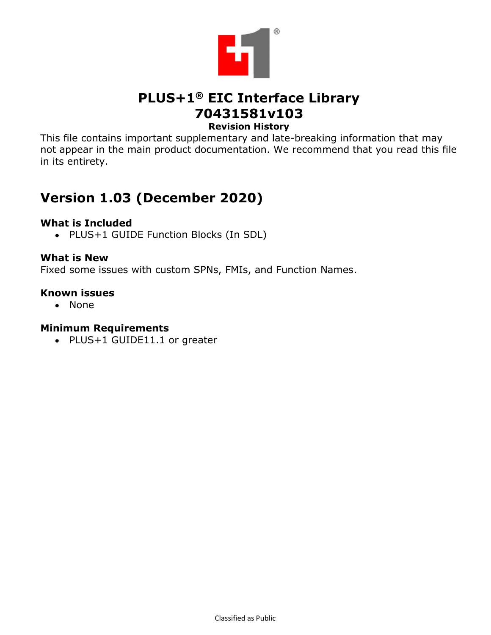

# PLUS+1® EIC Interface Library 70431581v103 Revision History

This file contains important supplementary and late-breaking information that may not appear in the main product documentation. We recommend that you read this file in its entirety.

# Version 1.03 (December 2020)

## What is Included

• PLUS+1 GUIDE Function Blocks (In SDL)

What is New<br>Fixed some issues with custom SPNs, FMIs, and Function Names.

### Known issues

None

### Minimum Requirements

PLUS+1 GUIDE11.1 or greater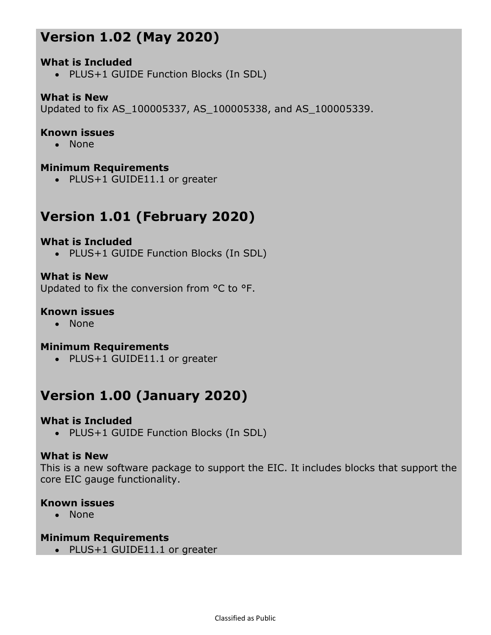# Version 1.02 (May 2020)<br>What is Included<br>• PLUS+1 GUIDE Function Blocks (In SDL)

# What is Included

PLUS+1 GUIDE Function Blocks (In SDL)

**What is New <br>Updated to fix AS\_100005337, AS\_100005338, and AS\_100005339.** 

### Known issues

None

### Minimum Requirements

PLUS+1 GUIDE11.1 or greater

# Version 1.01 (February 2020)

### What is Included

PLUS+1 GUIDE Function Blocks (In SDL)

What is New<br>Updated to fix the conversion from °C to °F.

### Known issues

• None

### Minimum Requirements

• PLUS+1 GUIDE11.1 or greater

# Version 1.00 (January 2020)

### What is Included

PLUS+1 GUIDE Function Blocks (In SDL)

What is New<br>This is a new software package to support the EIC. It includes blocks that support the core EIC gauge functionality.

### Known issues

None

### Minimum Requirements

• PLUS+1 GUIDE11.1 or greater